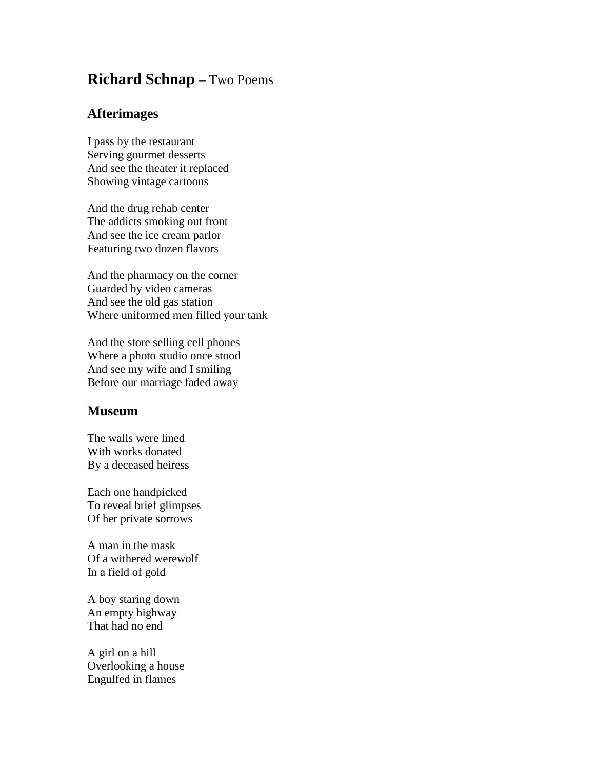## **Richard Schnap** – Two Poems

## **Afterimages**

I pass by the restaurant Serving gourmet desserts And see the theater it replaced Showing vintage cartoons

And the drug rehab center The addicts smoking out front And see the ice cream parlor Featuring two dozen flavors

And the pharmacy on the corner Guarded by video cameras And see the old gas station Where uniformed men filled your tank

And the store selling cell phones Where a photo studio once stood And see my wife and I smiling Before our marriage faded away

## **Museum**

The walls were lined With works donated By a deceased heiress

Each one handpicked To reveal brief glimpses Of her private sorrows

A man in the mask Of a withered werewolf In a field of gold

A boy staring down An empty highway That had no end

A girl on a hill Overlooking a house Engulfed in flames